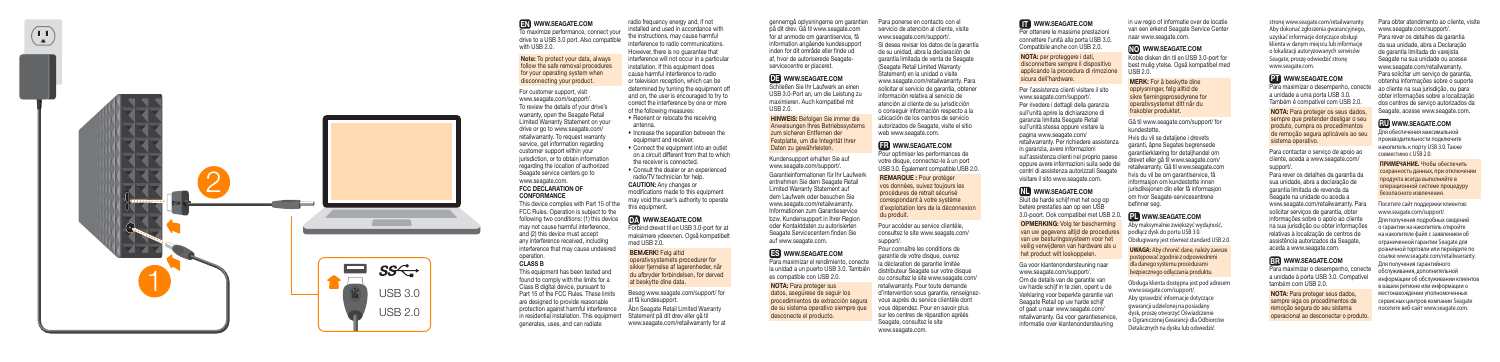

 $(\Box)$  $\bullet$ 

#### EN WWW.SEAGATE.COM

To maximize performance, connect your drive to a USB 3.0 port. Also compatible with USB 2.0.

#### Note: To protect your data, always follow the safe removal procedures for your operating system when disconnecting your product.

For customer support, visit www.seagate.com/support/. To review the details of your drive's warranty, open the Seagate Retail Limited Warranty Statement on your drive or go to www.seagate.com/ retailwarranty. To request warranty service, get information regarding customer support within your jurisdiction, or to obtain information regarding the location of authorized Seagate service centers go to www.seagate.com. FCC DECLARATION OF

# **CONFORMANCE**

radio frequency energy and, if not installed and used in accordance with the instructions, may cause harmful interference to radio communications. However, there is no guarantee that interference will not occur in a particular installation. If this equipment does cause harmful interference to radio or television reception, which can be determined by turning the equipment off and on, the user is encouraged to try to correct the interference by one or more<br>of the following measures:

This device complies with Part 15 of the FCC Rules. Operation is subject to the following two conditions: (1) this device may not cause harmful interference, and (2) this device must accept any interference received, including interference that may cause undesired operation.

#### CLASS B

- Reorient or relocate the receiving antenna.
- Increase the separation between the equipment and receiver.
- Connect the equipment into an outlet on a circuit different from that to which the receiver is connected. • Consult the dealer or an experienced

This equipment has been tested and found to comply with the limits for a Class B digital device, pursuant to Part 15 of the FCC Rules. These limits are designed to provide reasonable protection against harmful interference in residential installation. This equipment generates, uses, and can radiate

Si desea revisar los datos de la garantía de su unidad, abra la declaración de garantía limitada de venta de Seagate (Seagate Retail Limited Warranty Statement) en la unidad o visite www.seagate.com/retailwarranty. Para solicitar el servicio de garantía, obtener información relativa al servicio de atención al cliente de su jurisdicción o conseguir información respecto a la ubicación de los centros de servicio autorizados de Seagate, visite el sitio web www.seagate.com.

# **FR** WWW.SEAGATE.COM

radio/TV technician for help. CAUTION: Any changes or modifications made to this equipment may void the user's authority to operate this equipment.

# DA WWW.SEAGATE.COM

Forbind drevet til en USB 3.0-port for at maksimere ydeevnen. Også kompatibelt med USB 2.0.

#### BEMÆRK! Følg altid

operativsystemets procedurer for sikker fjernelse af lagerenheder, når du afbryder forbindelsen, for derved at beskytte dine data.

Besøg www.seagate.com/support/ for at få kundesupport. Åbn Seagate Retail Limited Warranty Statement på dit drev eller gå til www.seagate.com/retailwarranty for at

gennemgå oplysningerne om garantien på dit drev. Gå til www.seagate.com for at anmode om garantiservice, få information angående kundesupport inden for dit område eller finde ud af, hvor de autoriserede Seagateservicecentre er placeret.

#### DE WWW.SEAGATE.COM

Schließen Sie Ihr Laufwerk an einen USB 3.0-Port an, um die Leistung zu maximieren. Auch kompatibel mit USB 2.0.

HINWEIS: Befolgen Sie immer die Anweisungen Ihres Betriebssystems zum sicheren Entfernen der Festplatte, um die Integrität Ihrer Daten zu gewährleisten.

Koble disken din til en USB 3.0-port for best mulig ytelse. Også kompatibel med  $USSB 20$ 

Kundensupport erhalten Sie auf www.seagate.com/support/. Garantieinformationen für Ihr Laufwerk entnehmen Sie dem Seagate Retail Limited Warranty Statement auf dem Laufwerk oder besuchen Sie www.seagate.com/retailwarranty. Informationen zum Garantieservice bzw. Kundensupport in Ihrer Region oder Kontaktdaten zu autorisierten Seagate Servicecentern finden Sie auf www.seagate.com.

# ES WWW.SEAGATE.COM

Para maximizar el rendimiento, conecte la unidad a un puerto USB 3.0. También es compatible con USB 2.0.

#### NOTA: Para proteger sus datos, asegúrese de seguir los procedimientos de extracción segura de su sistema operativo siempre que desconecte el producto.

Para ponerse en contacto con el servicio de atención al cliente, visite www.seagate.com/support/.

> Para maximizar o desempenho, conecte a unidade a uma porta USB 3.0. Também é compatível com USB 2.0.

Pour optimiser les performances de votre disque, connectez-le à un port USB 3.0. Également compatible USB 2.0.

REMARQUE : Pour protéger vos données, suivez toujours les procédures de retrait sécurisé correspondant à votre système d'exploitation lors de la déconnexion du produit.

Pour accéder au service clientèle, consultez le site www.seagate.com/ support/.

Pour connaître les conditions de garantie de votre disque, ouvrez la déclaration de garantie limitée distributeur Seagate sur votre disque ou consultez le site www.seagate.com/ retailwarranty. Pour toute demande d'intervention sous garantie, renseignezvous auprès du service clientèle dont vous dépendez. Pour en savoir plus sur les centres de réparation agréés Seagate, consultez le site www.seagate.com.

#### **IT WWW.SEAGATE.COM**

Per ottenere le massime prestazioni connettere l'unità alla porta USB 3.0. Compatibile anche con USB 2.0.

NOTA: per proteggere i dati, disconnettere sempre il dispositivo applicando la procedura di rimozione sicura dell'hardware.

Per l'assistenza clienti visitare il sito www.seagate.com/support/. Per rivedere i dettagli della garanzia sull'unità aprire la dichiarazione di garanzia limitata Seagate Retail sull'unità stessa oppure visitare la pagina www.seagate.com/ retailwarranty. Per richiedere assistenza in garanzia, avere informazioni sull'assistenza clienti nel proprio paese oppure avere informazioni sulla sede dei centri di assistenza autorizzati Seagate visitare il sito www.seagate.com.

# NL WWW.SEAGATE.COM

Sluit de harde schijf met het oog op betere prestaties aan op een USB 3.0-poort. Ook compatibel met USB 2.0.

OPMERKING: Volg ter bescherming van uw gegevens altijd de procedures van uw besturingssysteem voor het veilig verwijderen van hardware als u het product wilt loskoppelen.

Ga voor klantenondersteuning naar www.seagate.com/support/. Om de details van de garantie van uw harde schijf in te zien, opent u de Verklaring voor beperkte garantie van Seagate Retail op uw harde schijf of gaat u naar www.seagate.com/ retailwarranty. Ga voor garantieservice, informatie over klantenondersteuning

in uw regio of informatie over de locatie van een erkend Seagate Service Center naar www.seagate.com.

## NO WWW.SEAGATE.COM

MERK: For å beskytte dine opplysninger, følg alltid de sikre fjerningsprosedyrene for operativsystemet ditt når du frakobler produktet.

Gå til www.seagate.com/support/ for kundestøtte.

Hvis du vil se detaljene i drevets garanti, åpne Segates begrensede garantierklæring for detaljhandel om drevet eller gå til www.seagate.com/ retailwarranty. Gå til www.seagate.com hvis du vil be om garantiservice, få informasjon om kundestøtte innen jurisdiksjonen din eller få informasjon om hvor Seagate-servicesentrene befinner seg.

#### PLWWW.SEAGATE.COM

Aby maksymalnie zwiększyć wydajność, podłącz dysk do portu USB 3.0. Obsługiwany jest również standard USB 2.0.

**UWAGA:** Aby chronić dane, należy zawsze postępować zgodnie z odpowiednimi dla danego systemu procedurami bezpiecznego odłączania produktu.

Obsługa klienta dostępna jest pod adresem www.seagate.com/support/.

Aby sprawdzić informacje dotyczące gwarancji udzielonej na posiadany dysk, proszę otworzyć Oświadczenie o Ograniczonej Gwarancji dla Odbiorców Detalicznych na dysku lub odwiedzić

stronę www.seagate.com/retailwarranty. Aby dokonać zgłoszenia gwarancyjnego, uzyskać informacje dotyczące obsługi klienta w danym miejscu lub informacje o lokalizacji autoryzowanych serwisów Seagate, proszę odwiedzić stronę www.seagate.com.

## **PT** WWW.SEAGATE.COM

NOTA: Para proteger os seus dados, sempre que pretender desligar o seu produto, cumpra os procedimentos de remoção segura aplicáveis ao seu sistema operativo.

Para contactar o serviço de apoio ao cliente, aceda a www.seagate.com/ support/.

Para rever os detalhes da garantia da sua unidade, abra a declaração de garantia limitada de revenda da Seagate na unidade ou aceda a www.seagate.com/retailwarranty. Para solicitar serviços de garantia, obter informações sobre o apoio ao cliente na sua jurisdição ou obter informações relativas à localização de centros de assistência autorizados da Seagate, aceda a www.seagate.com.

# BR WWW.SEAGATE.COM

Para maximizar o desempenho, conecte a unidade à porta USB 3.0. Compatível também com USB 2.0.

NOTA: Para proteger seus dados, sempre siga os procedimentos de remoção segura do seu sistema operacional ao desconectar o produto.

Para obter atendimento ao cliente, visite www.seagate.com/support/. Para rever os detalhes da garantia da sua unidade, abra a Declaração de garantia limitada do varejista Seagate na sua unidade ou acesse www.seagate.com/retailwarranty. Para solicitar um servico de garantia obtenha informações sobre o suporte ao cliente na sua jurisdição, ou para obter informações sobre a localização dos centros de serviço autorizados da Seagate, acesse www.seagate.com.

# RUWWW.SEAGATE.COM

Для обеспечения максимальной производительности подключите накопитель к порту USB 3.0. Также совместимо с USB 2.0.

**ПРИМЕЧАНИЕ.** Чтобы обеспечить сохранность данных, при отключении продукта всегда выполняйте в операционной системе процедуру безопасного извлечения.

Посетите сайт поддержки клиентов: www.seagate.com/support/. Для получения подробных сведений о гарантии на накопитель откройте на накопителе файл с заявлением об ограниченной гарантии Seagate для розничной торговли или перейдите по ссылке www.seagate.com/retailwarranty. Для получения гарантийного обслуживания, дополнительной информации об обслуживании клиентов в вашем регионе или информации о местонахождении уполномоченных сервисных центров компании Seagate посетите веб-сайт www.seagate.com.